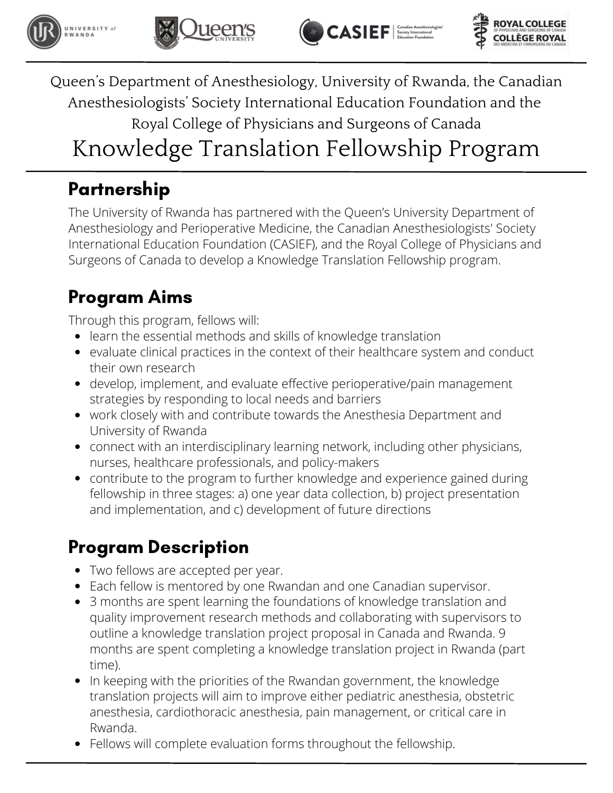







### Partnership

The University of Rwanda has partnered with the Queen's University Department of Anesthesiology and Perioperative Medicine, the Canadian Anesthesiologists' Society International Education Foundation (CASIEF), and the Royal College of Physicians and Surgeons of Canada to develop a Knowledge Translation Fellowship program.

## Program Aims

Through this program, fellows will:

- learn the essential methods and skills of knowledge translation
- evaluate clinical practices in the context of their healthcare system and conduct their own research
- develop, implement, and evaluate effective perioperative/pain management strategies by responding to local needs and barriers
- work closely with and contribute towards the Anesthesia Department and University of Rwanda
- connect with an interdisciplinary learning network, including other physicians, nurses, healthcare professionals, and policy-makers
- contribute to the program to further knowledge and experience gained during fellowship in three stages: a) one year data collection, b) project presentation and implementation, and c) development of future directions

## Program Description

- Two fellows are accepted per year.
- Each fellow is mentored by one Rwandan and one Canadian supervisor.
- 3 months are spent learning the foundations of knowledge translation and quality improvement research methods and collaborating with supervisors to outline a knowledge translation project proposal in Canada and Rwanda. 9 months are spent completing a knowledge translation project in Rwanda (part time).
- In keeping with the priorities of the Rwandan government, the knowledge translation projects will aim to improve either pediatric anesthesia, obstetric anesthesia, cardiothoracic anesthesia, pain management, or critical care in Rwanda.
- Fellows will complete evaluation forms throughout the fellowship.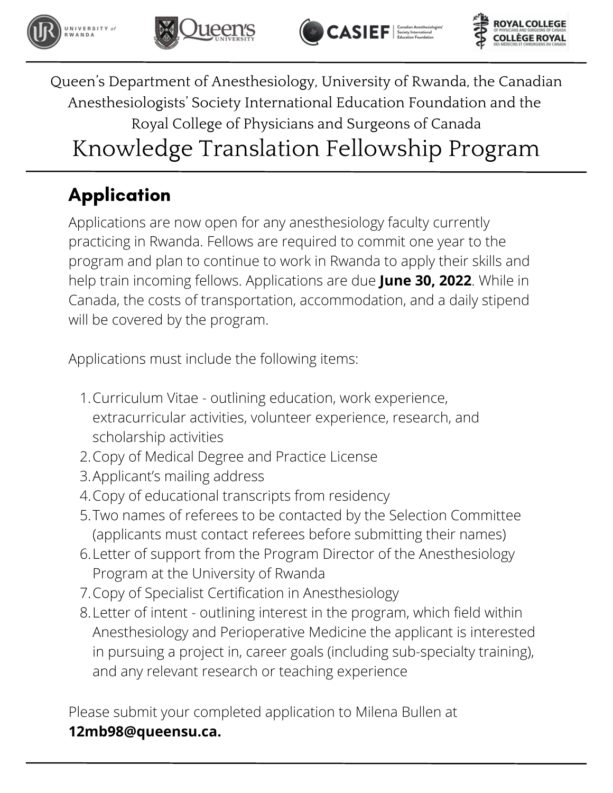







# **Application**

Applications are now open for any anesthesiology faculty currently practicing in Rwanda. Fellows are required to commit one year to the program and plan to continue to work in Rwanda to apply their skills and help train incoming fellows. Applications are due **June 30, 2022**. While in Canada, the costs of transportation, accommodation, and a daily stipend will be covered by the program.

Applications must include the following items:

- Curriculum Vitae outlining education, work experience, 1. extracurricular activities, volunteer experience, research, and scholarship activities
- 2. Copy of Medical Degree and Practice License
- Applicant's mailing address 3.
- 4. Copy of educational transcripts from residency
- Two names of referees to be contacted by the Selection Committee 5. (applicants must contact referees before submitting their names)
- Letter of support from the Program Director of the Anesthesiology 6. Program at the University of Rwanda
- 7. Copy of Specialist Certification in Anesthesiology
- Letter of intent outlining interest in the program, which field within 8. Anesthesiology and Perioperative Medicine the applicant is interested in pursuing a project in, career goals (including sub-specialty training), and any relevant research or teaching experience

Please submit your completed application to Milena Bullen at **[12mb98@queensu.ca](mailto:12mb98@queensu.ca).**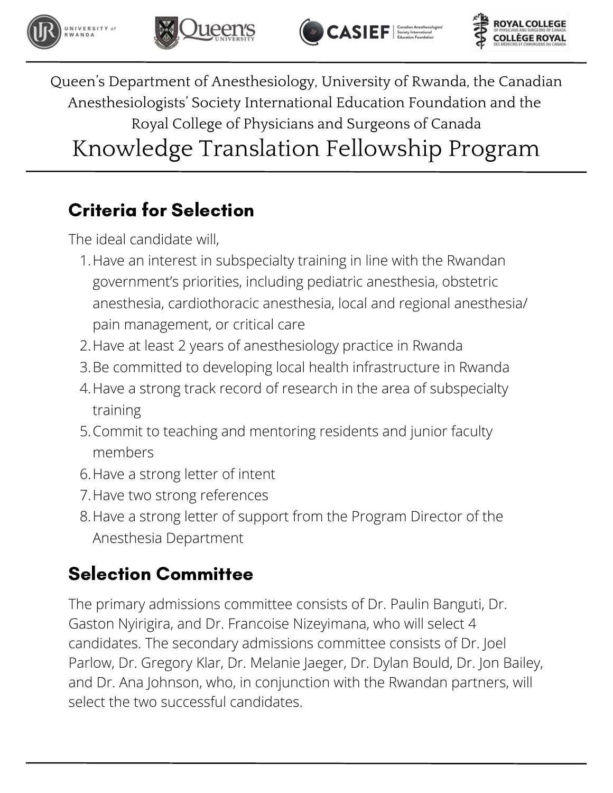







## Criteria for Selection

The ideal candidate will,

- Have an interest in subspecialty training in line with the Rwandan 1. government's priorities, including pediatric anesthesia, obstetric anesthesia, cardiothoracic anesthesia, local and regional anesthesia/ pain management, or critical care
- 2.Have at least 2 years of anesthesiology practice in Rwanda
- Be committed to developing local health infrastructure in Rwanda 3.
- 4.Have a strong track record of research in the area of subspecialty training
- 5. Commit to teaching and mentoring residents and junior faculty members
- 6.Have a strong letter of intent
- 7. Have two strong references
- 8.Have a strong letter of support from the Program Director of the Anesthesia Department

## Selection Committee

The primary admissions committee consists of Dr. Paulin Banguti, Dr. Gaston Nyirigira, and Dr. Francoise Nizeyimana, who will select 4 candidates. The secondary admissions committee consists of Dr. Joel Parlow, Dr. Gregory Klar, Dr. Melanie Jaeger, Dr. Dylan Bould, Dr. Jon Bailey, and Dr. Ana Johnson, who, in conjunction with the Rwandan partners, will select the two successful candidates.